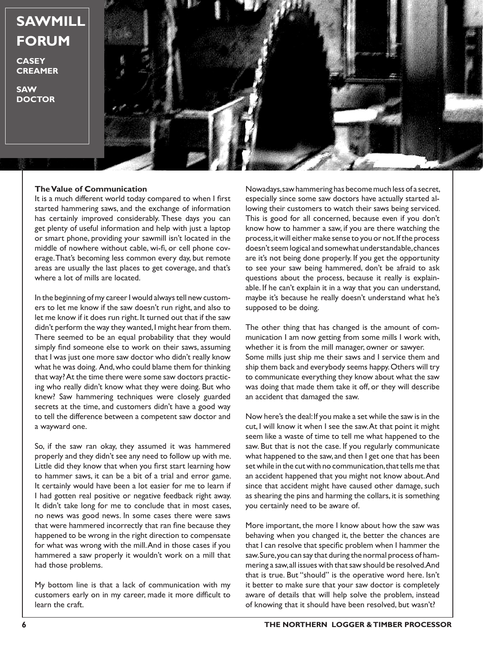## **SAWMILL FORUM**

**CASEY CREAMER**

**SAW DOCTOR**



## **The Value of Communication**

It is a much different world today compared to when I first started hammering saws, and the exchange of information has certainly improved considerably. These days you can get plenty of useful information and help with just a laptop or smart phone, providing your sawmill isn't located in the middle of nowhere without cable, wi-fi, or cell phone coverage. That's becoming less common every day, but remote areas are usually the last places to get coverage, and that's where a lot of mills are located.

In the beginning of my career I would always tell new customers to let me know if the saw doesn't run right, and also to let me know if it does run right. It turned out that if the saw didn't perform the way they wanted, I might hear from them. There seemed to be an equal probability that they would simply find someone else to work on their saws, assuming that I was just one more saw doctor who didn't really know what he was doing. And, who could blame them for thinking that way? At the time there were some saw doctors practicing who really didn't know what they were doing. But who knew? Saw hammering techniques were closely guarded secrets at the time, and customers didn't have a good way to tell the difference between a competent saw doctor and a wayward one.

So, if the saw ran okay, they assumed it was hammered properly and they didn't see any need to follow up with me. Little did they know that when you first start learning how to hammer saws, it can be a bit of a trial and error game. It certainly would have been a lot easier for me to learn if I had gotten real positive or negative feedback right away. It didn't take long for me to conclude that in most cases, no news was good news. In some cases there were saws that were hammered incorrectly that ran fine because they happened to be wrong in the right direction to compensate for what was wrong with the mill. And in those cases if you hammered a saw properly it wouldn't work on a mill that had those problems.

My bottom line is that a lack of communication with my customers early on in my career, made it more difficult to learn the craft.

Nowadays, saw hammering has become much less of a secret, especially since some saw doctors have actually started allowing their customers to watch their saws being serviced. This is good for all concerned, because even if you don't know how to hammer a saw, if you are there watching the process, it will either make sense to you or not. If the process doesn't seem logical and somewhat understandable, chances are it's not being done properly. If you get the opportunity to see your saw being hammered, don't be afraid to ask questions about the process, because it really is explainable. If he can't explain it in a way that you can understand, maybe it's because he really doesn't understand what he's supposed to be doing.

The other thing that has changed is the amount of communication I am now getting from some mills I work with, whether it is from the mill manager, owner or sawyer. Some mills just ship me their saws and I service them and ship them back and everybody seems happy. Others will try to communicate everything they know about what the saw was doing that made them take it off, or they will describe an accident that damaged the saw.

Now here's the deal: If you make a set while the saw is in the cut, I will know it when I see the saw. At that point it might seem like a waste of time to tell me what happened to the saw. But that is not the case. If you regularly communicate what happened to the saw, and then I get one that has been set while in the cut with no communication, that tells me that an accident happened that you might not know about. And since that accident might have caused other damage, such as shearing the pins and harming the collars, it is something you certainly need to be aware of.

More important, the more I know about how the saw was behaving when you changed it, the better the chances are that I can resolve that specific problem when I hammer the saw. Sure, you can say that during the normal process of hammering a saw, all issues with that saw should be resolved. And that is true. But "should" is the operative word here. Isn't it better to make sure that your saw doctor is completely aware of details that will help solve the problem, instead of knowing that it should have been resolved, but wasn't?